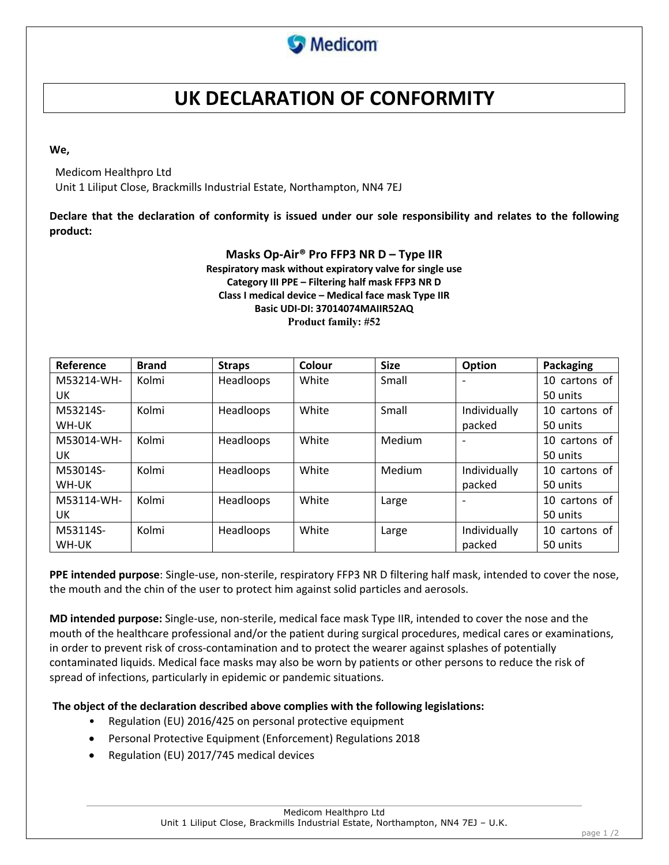

# **UK DECLARATION OF CONFORMITY**

**We,**

Medicom Healthpro Ltd

Unit 1 Liliput Close, Brackmills Industrial Estate, Northampton, NN4 7EJ

**Declare that the declaration of conformity is issued under our sole responsibility and relates to the following product:**

## **Masks Op-Air® Pro FFP3 NR D – Type IIR Respiratory mask without expiratory valve for single use Category III PPE – Filtering half mask FFP3 NR D Class I medical device – Medical face mask Type IIR Basic UDI-DI: 37014074MAIIR52AQ Product family: #52**

| Reference  | <b>Brand</b> | <b>Straps</b> | Colour | <b>Size</b> | Option                   | Packaging        |
|------------|--------------|---------------|--------|-------------|--------------------------|------------------|
| M53214-WH- | Kolmi        | Headloops     | White  | Small       | $\overline{\phantom{a}}$ | 10 cartons of    |
| UK         |              |               |        |             |                          | 50 units         |
| M53214S-   | Kolmi        | Headloops     | White  | Small       | Individually             | 10 cartons of    |
| WH-UK      |              |               |        |             | packed                   | 50 units         |
| M53014-WH- | Kolmi        | Headloops     | White  | Medium      | $\overline{\phantom{0}}$ | cartons of<br>10 |
| UK         |              |               |        |             |                          | 50 units         |
| M53014S-   | Kolmi        | Headloops     | White  | Medium      | Individually             | 10 cartons of    |
| WH-UK      |              |               |        |             | packed                   | 50 units         |
| M53114-WH- | Kolmi        | Headloops     | White  | Large       | $\overline{\phantom{a}}$ | 10 cartons of    |
| UK         |              |               |        |             |                          | 50 units         |
| M53114S-   | Kolmi        | Headloops     | White  | Large       | Individually             | 10<br>cartons of |
| WH-UK      |              |               |        |             | packed                   | 50 units         |

**PPE intended purpose**: Single-use, non-sterile, respiratory FFP3 NR D filtering half mask, intended to cover the nose, the mouth and the chin of the user to protect him against solid particles and aerosols.

**MD intended purpose:** Single-use, non-sterile, medical face mask Type IIR, intended to cover the nose and the mouth of the healthcare professional and/or the patient during surgical procedures, medical cares or examinations, in order to prevent risk of cross-contamination and to protect the wearer against splashes of potentially contaminated liquids. Medical face masks may also be worn by patients or other persons to reduce the risk of spread of infections, particularly in epidemic or pandemic situations.

**The object of the declaration described above complies with the following legislations:** 

- Regulation (EU) 2016/425 on personal protective equipment
- Personal Protective Equipment (Enforcement) Regulations 2018
- Regulation (EU) 2017/745 medical devices